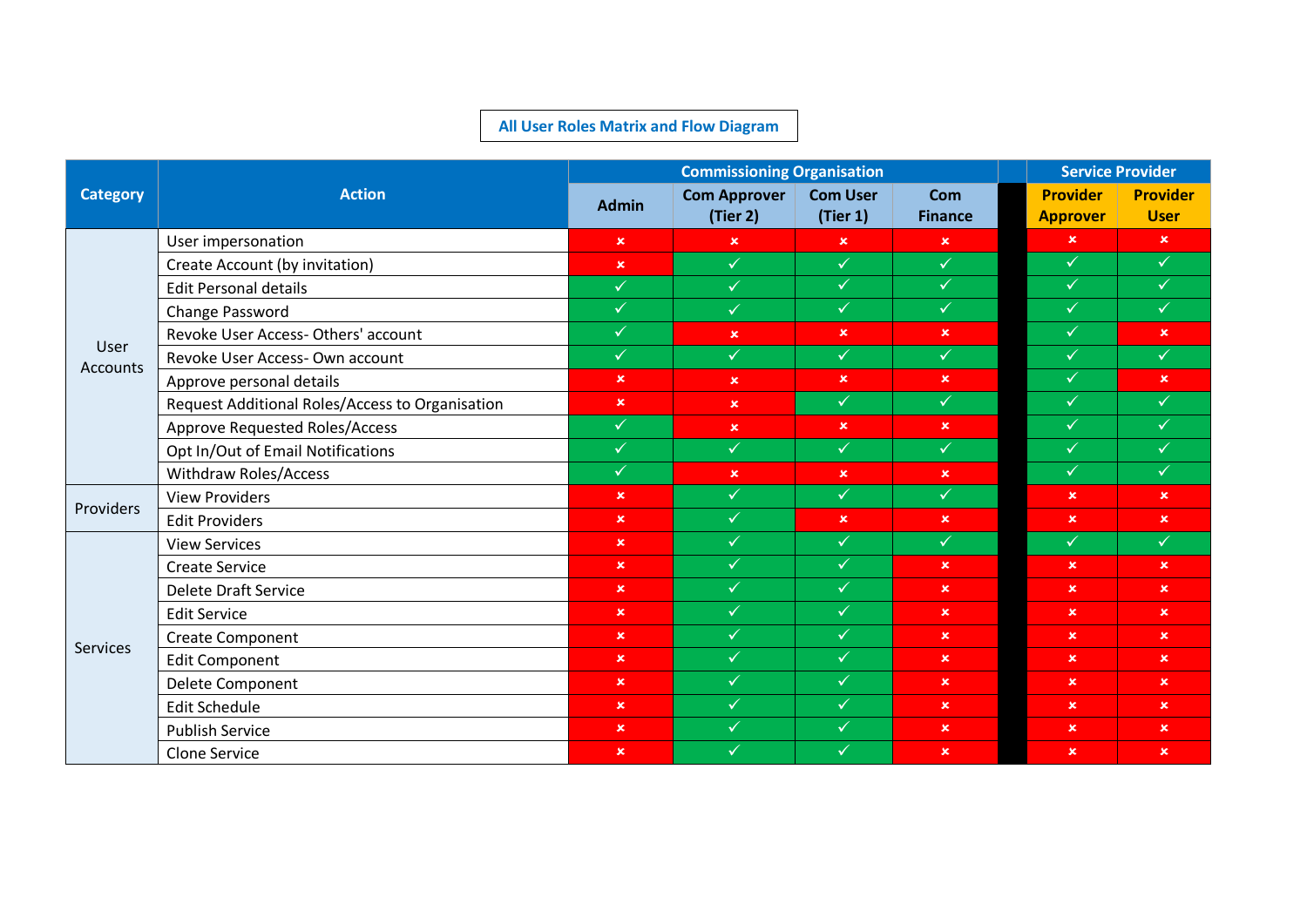## **All User Roles Matrix and Flow Diagram**

| <b>Category</b>  | <b>Action</b>                                   | <b>Commissioning Organisation</b> |                                 |                             |                              | <b>Service Provider</b>            |                                |  |
|------------------|-------------------------------------------------|-----------------------------------|---------------------------------|-----------------------------|------------------------------|------------------------------------|--------------------------------|--|
|                  |                                                 | <b>Admin</b>                      | <b>Com Approver</b><br>(Tier 2) | <b>Com User</b><br>(Tier 1) | <b>Com</b><br><b>Finance</b> | <b>Provider</b><br><b>Approver</b> | <b>Provider</b><br><b>User</b> |  |
| User<br>Accounts | User impersonation                              | $\pmb{\times}$                    | $\mathbf x$                     | $\pmb{\times}$              | $\boldsymbol{\mathsf{x}}$    | $\boldsymbol{\mathsf{x}}$          | $\mathbf{x}$                   |  |
|                  | Create Account (by invitation)                  | $\pmb{\times}$                    | $\checkmark$                    | $\checkmark$                | $\checkmark$                 | $\checkmark$                       | $\checkmark$                   |  |
|                  | <b>Edit Personal details</b>                    | $\checkmark$                      | $\checkmark$                    | $\checkmark$                | $\checkmark$                 | $\checkmark$                       | $\checkmark$                   |  |
|                  | Change Password                                 | $\checkmark$                      | $\checkmark$                    | $\checkmark$                | $\checkmark$                 | $\checkmark$                       | $\checkmark$                   |  |
|                  | Revoke User Access-Others' account              | $\checkmark$                      | $\pmb{\times}$                  | $\boldsymbol{\mathsf{x}}$   | $\pmb{\times}$               | $\checkmark$                       | $\mathbf x$                    |  |
|                  | Revoke User Access-Own account                  | $\checkmark$                      | $\checkmark$                    | $\checkmark$                | $\checkmark$                 | $\checkmark$                       | $\checkmark$                   |  |
|                  | Approve personal details                        | $\boldsymbol{\mathsf{x}}$         | $\pmb{\times}$                  | $\pmb{\times}$              | $\pmb{\times}$               | $\checkmark$                       | $\mathbf x$                    |  |
|                  | Request Additional Roles/Access to Organisation | $\pmb{\times}$                    | $\pmb{\times}$                  | $\checkmark$                | $\checkmark$                 | $\checkmark$                       | $\checkmark$                   |  |
|                  | <b>Approve Requested Roles/Access</b>           | $\checkmark$                      | $\pmb{\times}$                  | $\pmb{\times}$              | $\mathbf x$                  | $\checkmark$                       | $\checkmark$                   |  |
|                  | Opt In/Out of Email Notifications               | $\checkmark$                      | $\checkmark$                    | $\checkmark$                | $\checkmark$                 | $\checkmark$                       | $\checkmark$                   |  |
|                  | Withdraw Roles/Access                           | $\checkmark$                      | $\mathbf x$                     | $\boldsymbol{\mathsf{x}}$   | $\pmb{\times}$               | $\checkmark$                       | $\checkmark$                   |  |
| Providers        | <b>View Providers</b>                           | $\pmb{\times}$                    | $\checkmark$                    | $\checkmark$                | $\checkmark$                 | $\pmb{\times}$                     | $\mathbf x$                    |  |
|                  | <b>Edit Providers</b>                           | $\pmb{\times}$                    | $\checkmark$                    | $\pmb{\times}$              | $\pmb{\times}$               | $\pmb{\times}$                     | $\mathbf x$                    |  |
| <b>Services</b>  | <b>View Services</b>                            | $\boldsymbol{\mathsf{x}}$         | $\checkmark$                    | $\checkmark$                | $\checkmark$                 | $\checkmark$                       | $\checkmark$                   |  |
|                  | <b>Create Service</b>                           | $\boldsymbol{\mathsf{x}}$         | $\checkmark$                    | $\checkmark$                | $\mathbf{x}$                 | $\boldsymbol{\mathsf{x}}$          | $\pmb{\times}$                 |  |
|                  | <b>Delete Draft Service</b>                     | $\pmb{\times}$                    | $\checkmark$                    | $\checkmark$                | $\mathbf{x}$                 | $\boldsymbol{\mathsf{x}}$          | $\boldsymbol{\mathsf{x}}$      |  |
|                  | <b>Edit Service</b>                             | $\mathsf{x}$                      | $\checkmark$                    | $\checkmark$                | $\mathbf{x}$                 | $\mathbf x$                        | $\boldsymbol{\mathsf{x}}$      |  |
|                  | Create Component                                | $\mathsf{x}$                      | $\checkmark$                    | $\checkmark$                | $\mathbf{x}$                 | $\boldsymbol{\mathsf{x}}$          | $\boldsymbol{\mathsf{x}}$      |  |
|                  | <b>Edit Component</b>                           | $\pmb{\times}$                    | $\checkmark$                    | $\checkmark$                | $\mathbf x$                  | $\pmb{\times}$                     | $\mathbf x$                    |  |
|                  | Delete Component                                | $\pmb{\times}$                    | $\checkmark$                    | $\checkmark$                | $\mathbf{x}$                 | $\pmb{\times}$                     | $\mathbf x$                    |  |
|                  | <b>Edit Schedule</b>                            | $\pmb{\times}$                    | $\checkmark$                    | $\checkmark$                | $\mathbf{x}$                 | $\pmb{\times}$                     | $\boldsymbol{\mathsf{x}}$      |  |
|                  | <b>Publish Service</b>                          | $\pmb{\times}$                    | $\checkmark$                    | $\checkmark$                | $\boldsymbol{\mathsf{x}}$    | $\boldsymbol{\mathsf{x}}$          | $\pmb{\times}$                 |  |
|                  | <b>Clone Service</b>                            | $\boldsymbol{\mathsf{x}}$         | $\checkmark$                    | $\checkmark$                | $\mathbf x$                  | $\pmb{\times}$                     | $\boldsymbol{\mathsf{x}}$      |  |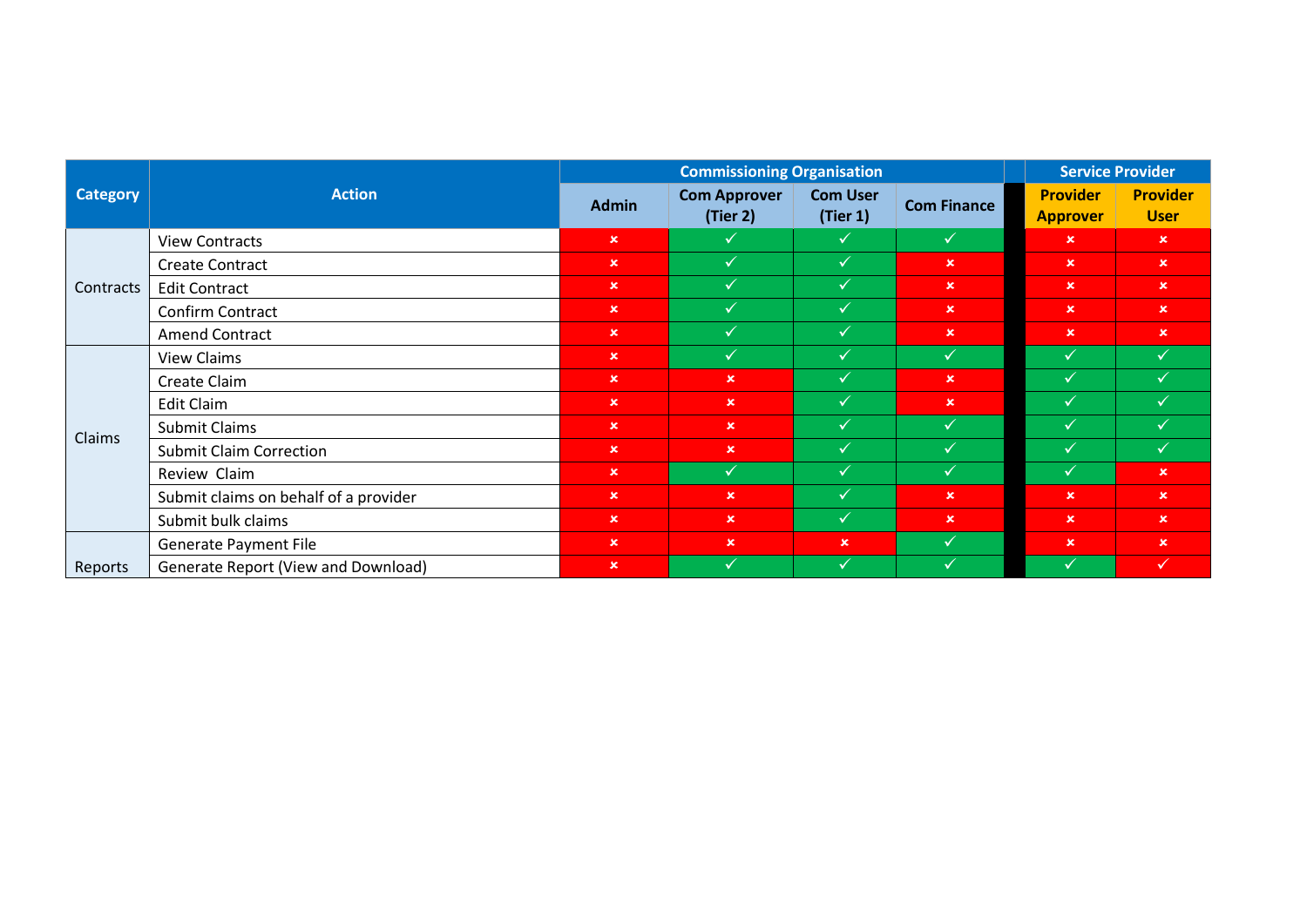|                 | <b>Action</b>                         | <b>Commissioning Organisation</b> |                                 |                             |                           | <b>Service Provider</b>            |                                |
|-----------------|---------------------------------------|-----------------------------------|---------------------------------|-----------------------------|---------------------------|------------------------------------|--------------------------------|
| <b>Category</b> |                                       | <b>Admin</b>                      | <b>Com Approver</b><br>(Tier 2) | <b>Com User</b><br>(Tier 1) | <b>Com Finance</b>        | <b>Provider</b><br><b>Approver</b> | <b>Provider</b><br><b>User</b> |
| Contracts       | <b>View Contracts</b>                 | $\mathbf{x}$                      | ✓                               | $\checkmark$                | $\checkmark$              | $\boldsymbol{\mathsf{x}}$          | $\pmb{\times}$                 |
|                 | <b>Create Contract</b>                | $\boldsymbol{\mathsf{x}}$         | $\checkmark$                    | $\checkmark$                | $\boldsymbol{\mathsf{x}}$ | $\boldsymbol{\mathsf{x}}$          | $\boldsymbol{\mathsf{x}}$      |
|                 | <b>Edit Contract</b>                  | $\boldsymbol{\mathsf{x}}$         | $\checkmark$                    | $\checkmark$                | $\pmb{\times}$            | $\boldsymbol{\mathsf{x}}$          | $\boldsymbol{\mathsf{x}}$      |
|                 | Confirm Contract                      | $\boldsymbol{\mathsf{x}}$         | $\sqrt{}$                       | $\checkmark$                | $\boldsymbol{\mathsf{x}}$ | $\pmb{\times}$                     | $\pmb{\times}$                 |
|                 | <b>Amend Contract</b>                 | $\pmb{\times}$                    | <b>ST</b>                       | $\checkmark$                | $\boldsymbol{\mathsf{x}}$ | $\pmb{\times}$                     | $\pmb{\times}$                 |
| Claims          | <b>View Claims</b>                    | $\boldsymbol{\mathsf{x}}$         | $\checkmark$                    | $\checkmark$                | ✓                         | $\checkmark$                       | $\checkmark$                   |
|                 | Create Claim                          | $\mathbf{x}$                      | $\pmb{\times}$                  | $\sqrt{}$                   | $\boldsymbol{\mathsf{x}}$ | $\checkmark$                       | ✓                              |
|                 | <b>Edit Claim</b>                     | $\boldsymbol{\mathsf{x}}$         | $\mathbf x$                     | $\checkmark$                | $\boldsymbol{\mathsf{x}}$ | $\checkmark$                       |                                |
|                 | Submit Claims                         | $\boldsymbol{\mathsf{x}}$         | $\mathsf{x}$                    | $\checkmark$                | ✓                         | $\checkmark$                       |                                |
|                 | <b>Submit Claim Correction</b>        | $\boldsymbol{\mathsf{x}}$         | $\pmb{\times}$                  | $\checkmark$                | V                         | $\checkmark$                       | ✓                              |
|                 | Review Claim                          | $\boldsymbol{\mathsf{x}}$         | $\checkmark$                    | $\checkmark$                | ✓                         | $\checkmark$                       | $\pmb{\times}$                 |
|                 | Submit claims on behalf of a provider | $\boldsymbol{\mathsf{x}}$         | $\mathbf x$                     | $\checkmark$                | $\boldsymbol{\mathsf{x}}$ | $\pmb{\times}$                     | $\pmb{\times}$                 |
|                 | Submit bulk claims                    | $\mathbf{x}$                      | $\mathsf{x}$                    | $\checkmark$                | $\boldsymbol{\mathsf{x}}$ | $\boldsymbol{\mathsf{x}}$          | $\boldsymbol{\mathsf{x}}$      |
|                 | Generate Payment File                 | $\mathbf{x}$                      | $\boldsymbol{\mathsf{x}}$       | $\boldsymbol{\mathsf{x}}$   | $\checkmark$              | $\boldsymbol{\mathsf{x}}$          | $\boldsymbol{\mathsf{x}}$      |
| Reports         | Generate Report (View and Download)   | $\boldsymbol{\mathsf{x}}$         | <b>N</b>                        | $\checkmark$                | ✓                         | $\checkmark$                       | $\checkmark$                   |